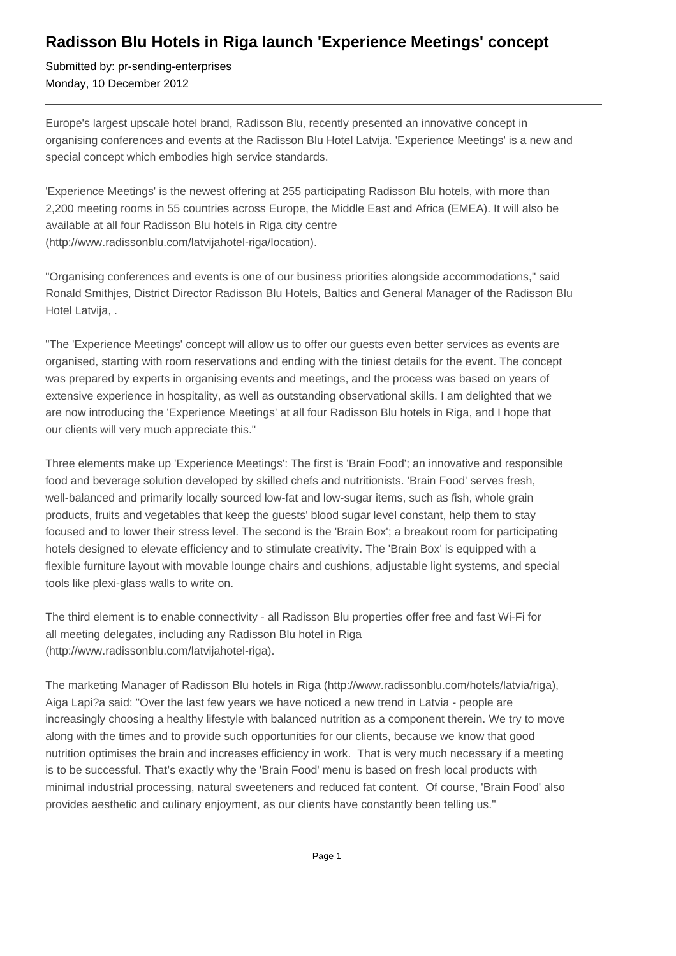## **Radisson Blu Hotels in Riga launch 'Experience Meetings' concept**

Submitted by: pr-sending-enterprises Monday, 10 December 2012

Europe's largest upscale hotel brand, Radisson Blu, recently presented an innovative concept in organising conferences and events at the Radisson Blu Hotel Latvija. 'Experience Meetings' is a new and special concept which embodies high service standards.

'Experience Meetings' is the newest offering at 255 participating Radisson Blu hotels, with more than 2,200 meeting rooms in 55 countries across Europe, the Middle East and Africa (EMEA). It will also be available at all four Radisson Blu hotels in Riga city centre (http://www.radissonblu.com/latvijahotel-riga/location).

"Organising conferences and events is one of our business priorities alongside accommodations," said Ronald Smithjes, District Director Radisson Blu Hotels, Baltics and General Manager of the Radisson Blu Hotel Latvija, .

"The 'Experience Meetings' concept will allow us to offer our guests even better services as events are organised, starting with room reservations and ending with the tiniest details for the event. The concept was prepared by experts in organising events and meetings, and the process was based on years of extensive experience in hospitality, as well as outstanding observational skills. I am delighted that we are now introducing the 'Experience Meetings' at all four Radisson Blu hotels in Riga, and I hope that our clients will very much appreciate this."

Three elements make up 'Experience Meetings': The first is 'Brain Food'; an innovative and responsible food and beverage solution developed by skilled chefs and nutritionists. 'Brain Food' serves fresh, well-balanced and primarily locally sourced low-fat and low-sugar items, such as fish, whole grain products, fruits and vegetables that keep the guests' blood sugar level constant, help them to stay focused and to lower their stress level. The second is the 'Brain Box'; a breakout room for participating hotels designed to elevate efficiency and to stimulate creativity. The 'Brain Box' is equipped with a flexible furniture layout with movable lounge chairs and cushions, adjustable light systems, and special tools like plexi-glass walls to write on.

The third element is to enable connectivity - all Radisson Blu properties offer free and fast Wi-Fi for all meeting delegates, including any Radisson Blu hotel in Riga (http://www.radissonblu.com/latvijahotel-riga).

The marketing Manager of Radisson Blu hotels in Riga (http://www.radissonblu.com/hotels/latvia/riga), Aiga Lapi?a said: "Over the last few years we have noticed a new trend in Latvia - people are increasingly choosing a healthy lifestyle with balanced nutrition as a component therein. We try to move along with the times and to provide such opportunities for our clients, because we know that good nutrition optimises the brain and increases efficiency in work. That is very much necessary if a meeting is to be successful. That's exactly why the 'Brain Food' menu is based on fresh local products with minimal industrial processing, natural sweeteners and reduced fat content. Of course, 'Brain Food' also provides aesthetic and culinary enjoyment, as our clients have constantly been telling us."